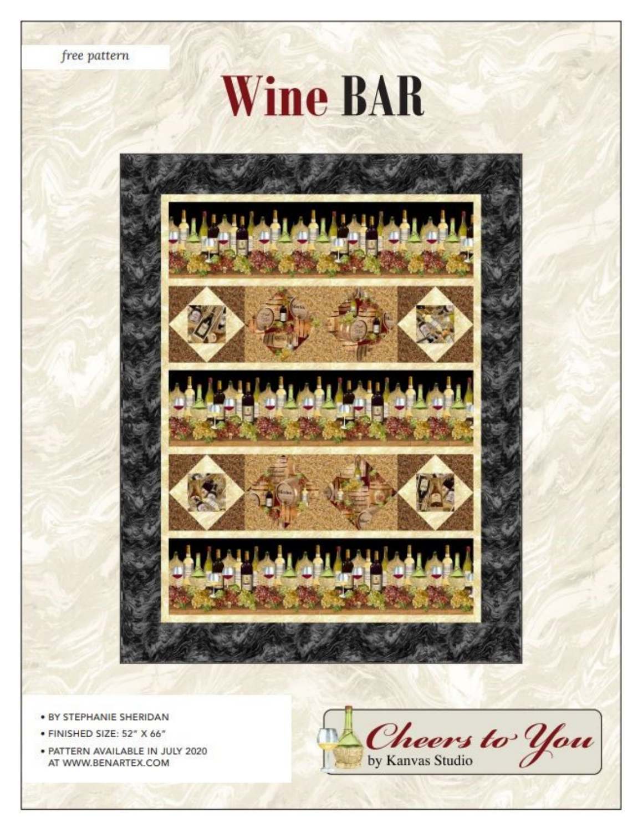free pattern

# **Wine BAR**









- · BY STEPHANIE SHERIDAN
- · FINISHED SIZE: 52" X 66"
- · PATTERN AVAILABLE IN JULY 2020 AT WWW.BENARTEX.COM

Cheers to You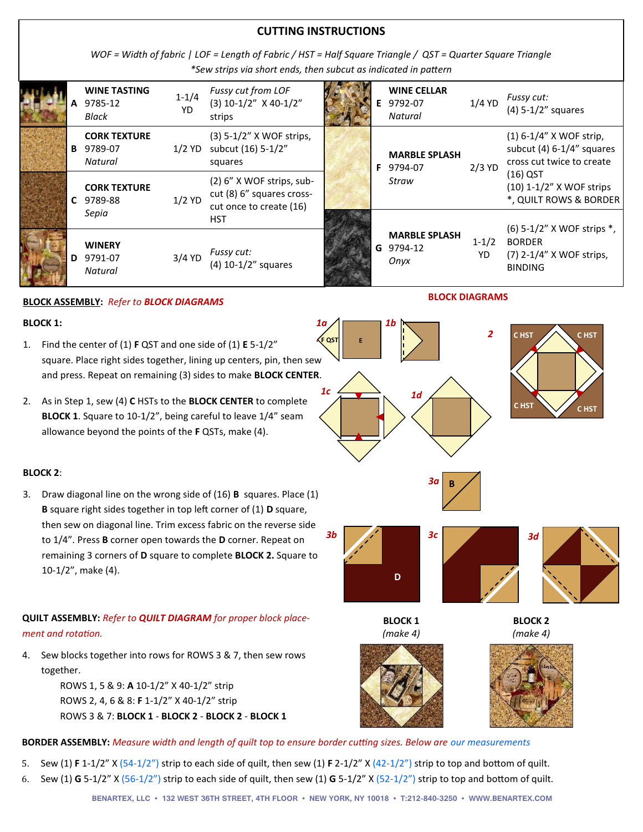### **CUTTING INSTRUCTIONS**

*WOF = Width of fabric | LOF = Length of Fabric / HST = Half Square Triangle / QST = Quarter Square Triangle \*Sew strips via short ends, then subcut as indicated in pattern*

|  |   | <b>WINE TASTING</b><br>9785-12<br>Black   | $1 - 1/4$<br>YD | Fussy cut from LOF<br>$(3)$ 10-1/2" X 40-1/2"<br>strips                             |  | <b>WINE CELLAR</b><br>E 9792-07<br>Natural | $1/4$ YD        | Fussy cut:<br>$(4)$ 5-1/2" squares                                                    |
|--|---|-------------------------------------------|-----------------|-------------------------------------------------------------------------------------|--|--------------------------------------------|-----------------|---------------------------------------------------------------------------------------|
|  | в | <b>CORK TEXTURE</b><br>9789-07<br>Natural |                 | (3) 5-1/2" X WOF strips,<br>1/2 YD subcut (16) 5-1/2"<br>squares                    |  | <b>MARBLE SPLASH</b><br><b>F</b> 9794-07   | $2/3$ YD        | $(1)$ 6-1/4" X WOF strip,<br>subcut $(4)$ 6-1/4" squares<br>cross cut twice to create |
|  |   | <b>CORK TEXTURE</b><br>C 9789-88          | $1/2$ YD        | $(2)$ 6" X WOF strips, sub-<br>cut (8) 6" squares cross-<br>cut once to create (16) |  | Straw                                      |                 | $(16)$ QST<br>(10) 1-1/2" X WOF strips<br>*, QUILT ROWS & BORDER                      |
|  |   | Sepia                                     |                 | <b>HST</b>                                                                          |  |                                            |                 | $(6)$ 5-1/2" X WOF strips $*$ ,                                                       |
|  | D | <b>WINERY</b><br>9791-07<br>Natural       | $3/4$ YD        | Fussy cut:<br>$(4)$ 10-1/2" squares                                                 |  | <b>MARBLE SPLASH</b><br>G 9794-12<br>Onyx  | $1 - 1/2$<br>YD | <b>BORDER</b><br>(7) 2-1/4" X WOF strips,<br><b>BINDING</b>                           |

*1a*

#### **BLOCK ASSEMBLY:** *Refer to BLOCK DIAGRAMS*

#### **BLOCK 1:**

- 1. Find the center of (1) **F** QST and one side of (1) **E** 5-1/2" square. Place right sides together, lining up centers, pin, then sew and press. Repeat on remaining (3) sides to make **BLOCK CENTER**. *.* **F QST AL UNIT**
- 2. As in Step 1, sew (4) **C** HSTs to the **BLOCK CENTER** to complete **BLOCK 1**. Square to 10-1/2", being careful to leave 1/4" seam allowance beyond the points of the **F** QSTs, make (4).

#### **BLOCK 2**:

3. Draw diagonal line on the wrong side of (16) **B** squares. Place (1) **B** square right sides together in top left corner of (1) **D** square, then sew on diagonal line. Trim excess fabric on the reverse side to 1/4". Press **B** corner open towards the **D** corner. Repeat on remaining 3 corners of **D** square to complete **BLOCK 2.** Square to 10-1/2", make (4).

# **QUILT ASSEMBLY:** *Refer to QUILT DIAGRAM for proper block placement and rotation.*

4. Sew blocks together into rows for ROWS 3 & 7, then sew rows together.

> ROWS 1, 5 & 9: **A** 10-1/2" X 40-1/2" strip ROWS 2, 4, 6 & 8: **F** 1-1/2" X 40-1/2" strip ROWS 3 & 7: **BLOCK 1** - **BLOCK 2** - **BLOCK 2** - **BLOCK 1**

# **BORDER ASSEMBLY:** *Measure width and length of quilt top to ensure border cutting sizes. Below are our measurements*

- 5. Sew (1) **F** 1-1/2" X (54-1/2") strip to each side of quilt, then sew (1) **F** 2-1/2" X (42-1/2") strip to top and bottom of quilt.
- 6. Sew (1) **G** 5-1/2" X (56-1/2") strip to each side of quilt, then sew (1) **G** 5-1/2" X (52-1/2") strip to top and bottom of quilt.



*1b*

**E**

 $1c \leftarrow$  1d

**BLOCK DIAGRAMS**





**2 CHST CHST** 

**C HST C HST**